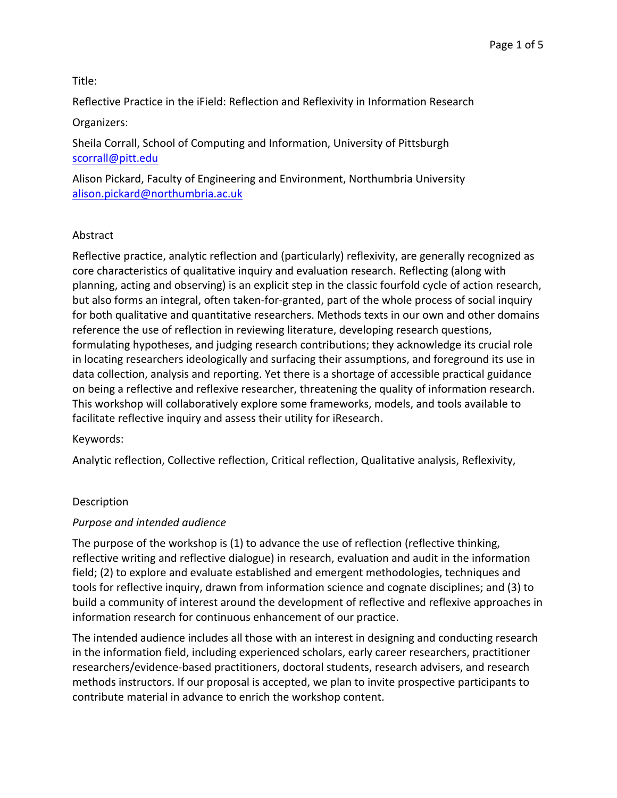## Title:

Reflective Practice in the iField: Reflection and Reflexivity in Information Research

# Organizers:

Sheila Corrall, School of Computing and Information, University of Pittsburgh scorrall@pitt.edu

Alison Pickard, Faculty of Engineering and Environment, Northumbria University alison.pickard@northumbria.ac.uk

# Abstract

Reflective practice, analytic reflection and (particularly) reflexivity, are generally recognized as core characteristics of qualitative inquiry and evaluation research. Reflecting (along with planning, acting and observing) is an explicit step in the classic fourfold cycle of action research, but also forms an integral, often taken-for-granted, part of the whole process of social inquiry for both qualitative and quantitative researchers. Methods texts in our own and other domains reference the use of reflection in reviewing literature, developing research questions, formulating hypotheses, and judging research contributions; they acknowledge its crucial role in locating researchers ideologically and surfacing their assumptions, and foreground its use in data collection, analysis and reporting. Yet there is a shortage of accessible practical guidance on being a reflective and reflexive researcher, threatening the quality of information research. This workshop will collaboratively explore some frameworks, models, and tools available to facilitate reflective inquiry and assess their utility for iResearch.

## Keywords:

Analytic reflection, Collective reflection, Critical reflection, Qualitative analysis, Reflexivity,

# Description

## *Purpose and intended audience*

The purpose of the workshop is (1) to advance the use of reflection (reflective thinking, reflective writing and reflective dialogue) in research, evaluation and audit in the information field; (2) to explore and evaluate established and emergent methodologies, techniques and tools for reflective inquiry, drawn from information science and cognate disciplines; and (3) to build a community of interest around the development of reflective and reflexive approaches in information research for continuous enhancement of our practice.

The intended audience includes all those with an interest in designing and conducting research in the information field, including experienced scholars, early career researchers, practitioner researchers/evidence-based practitioners, doctoral students, research advisers, and research methods instructors. If our proposal is accepted, we plan to invite prospective participants to contribute material in advance to enrich the workshop content.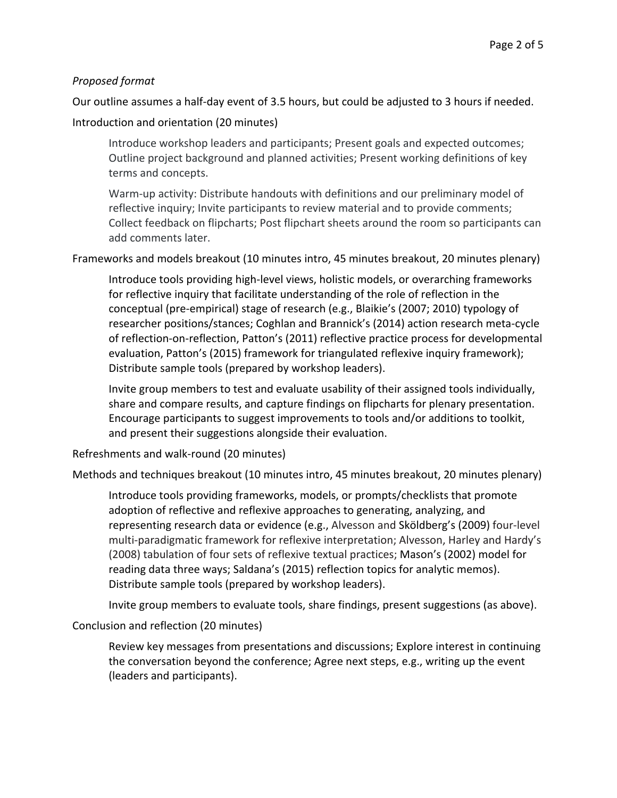### *Proposed format*

Our outline assumes a half-day event of 3.5 hours, but could be adjusted to 3 hours if needed.

### Introduction and orientation (20 minutes)

Introduce workshop leaders and participants; Present goals and expected outcomes; Outline project background and planned activities; Present working definitions of key terms and concepts.

Warm-up activity: Distribute handouts with definitions and our preliminary model of reflective inquiry; Invite participants to review material and to provide comments; Collect feedback on flipcharts; Post flipchart sheets around the room so participants can add comments later.

Frameworks and models breakout (10 minutes intro, 45 minutes breakout, 20 minutes plenary)

Introduce tools providing high-level views, holistic models, or overarching frameworks for reflective inquiry that facilitate understanding of the role of reflection in the conceptual (pre-empirical) stage of research (e.g., Blaikie's (2007; 2010) typology of researcher positions/stances; Coghlan and Brannick's (2014) action research meta-cycle of reflection-on-reflection, Patton's (2011) reflective practice process for developmental evaluation, Patton's (2015) framework for triangulated reflexive inquiry framework); Distribute sample tools (prepared by workshop leaders).

Invite group members to test and evaluate usability of their assigned tools individually, share and compare results, and capture findings on flipcharts for plenary presentation. Encourage participants to suggest improvements to tools and/or additions to toolkit, and present their suggestions alongside their evaluation.

Refreshments and walk-round (20 minutes)

Methods and techniques breakout (10 minutes intro, 45 minutes breakout, 20 minutes plenary)

Introduce tools providing frameworks, models, or prompts/checklists that promote adoption of reflective and reflexive approaches to generating, analyzing, and representing research data or evidence (e.g., Alvesson and Sköldberg's (2009) four-level multi-paradigmatic framework for reflexive interpretation; Alvesson, Harley and Hardy's (2008) tabulation of four sets of reflexive textual practices; Mason's (2002) model for reading data three ways; Saldana's (2015) reflection topics for analytic memos). Distribute sample tools (prepared by workshop leaders).

Invite group members to evaluate tools, share findings, present suggestions (as above).

Conclusion and reflection (20 minutes)

Review key messages from presentations and discussions; Explore interest in continuing the conversation beyond the conference; Agree next steps, e.g., writing up the event (leaders and participants).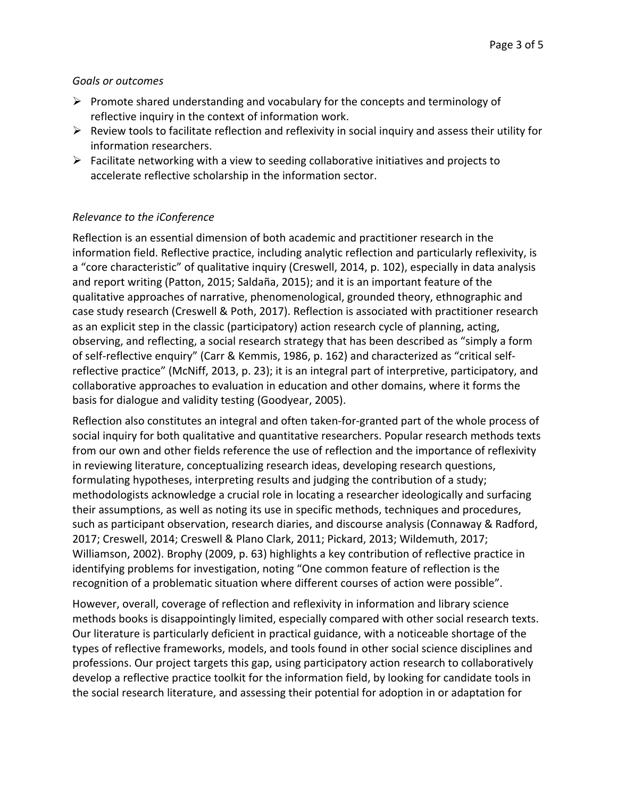## *Goals or outcomes*

- $\triangleright$  Promote shared understanding and vocabulary for the concepts and terminology of reflective inquiry in the context of information work.
- $\triangleright$  Review tools to facilitate reflection and reflexivity in social inquiry and assess their utility for information researchers.
- $\triangleright$  Facilitate networking with a view to seeding collaborative initiatives and projects to accelerate reflective scholarship in the information sector.

# *Relevance to the iConference*

Reflection is an essential dimension of both academic and practitioner research in the information field. Reflective practice, including analytic reflection and particularly reflexivity, is a "core characteristic" of qualitative inquiry (Creswell, 2014, p. 102), especially in data analysis and report writing (Patton, 2015; Saldaña, 2015); and it is an important feature of the qualitative approaches of narrative, phenomenological, grounded theory, ethnographic and case study research (Creswell & Poth, 2017). Reflection is associated with practitioner research as an explicit step in the classic (participatory) action research cycle of planning, acting, observing, and reflecting, a social research strategy that has been described as "simply a form of self-reflective enquiry" (Carr & Kemmis, 1986, p. 162) and characterized as "critical selfreflective practice" (McNiff, 2013, p. 23); it is an integral part of interpretive, participatory, and collaborative approaches to evaluation in education and other domains, where it forms the basis for dialogue and validity testing (Goodyear, 2005).

Reflection also constitutes an integral and often taken-for-granted part of the whole process of social inquiry for both qualitative and quantitative researchers. Popular research methods texts from our own and other fields reference the use of reflection and the importance of reflexivity in reviewing literature, conceptualizing research ideas, developing research questions, formulating hypotheses, interpreting results and judging the contribution of a study; methodologists acknowledge a crucial role in locating a researcher ideologically and surfacing their assumptions, as well as noting its use in specific methods, techniques and procedures, such as participant observation, research diaries, and discourse analysis (Connaway & Radford, 2017; Creswell, 2014; Creswell & Plano Clark, 2011; Pickard, 2013; Wildemuth, 2017; Williamson, 2002). Brophy (2009, p. 63) highlights a key contribution of reflective practice in identifying problems for investigation, noting "One common feature of reflection is the recognition of a problematic situation where different courses of action were possible".

However, overall, coverage of reflection and reflexivity in information and library science methods books is disappointingly limited, especially compared with other social research texts. Our literature is particularly deficient in practical guidance, with a noticeable shortage of the types of reflective frameworks, models, and tools found in other social science disciplines and professions. Our project targets this gap, using participatory action research to collaboratively develop a reflective practice toolkit for the information field, by looking for candidate tools in the social research literature, and assessing their potential for adoption in or adaptation for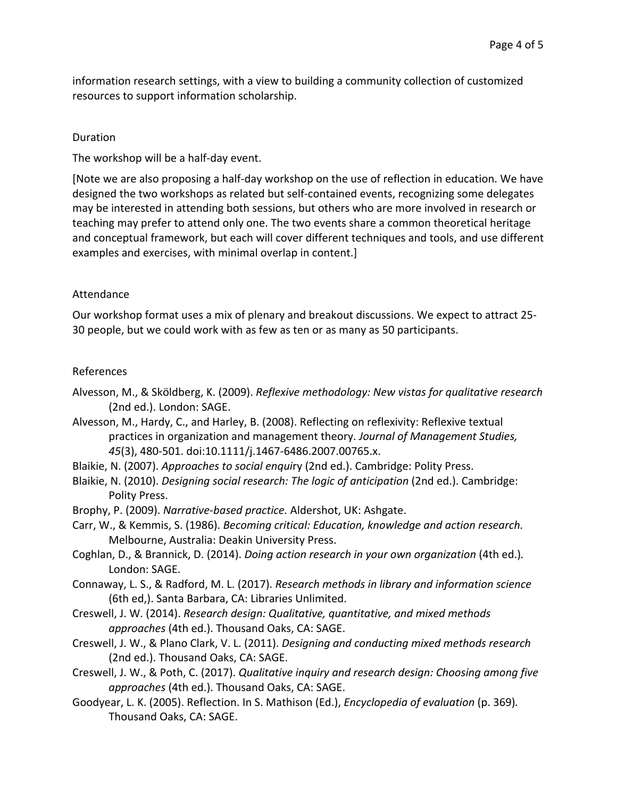information research settings, with a view to building a community collection of customized resources to support information scholarship.

#### Duration

The workshop will be a half-day event.

[Note we are also proposing a half-day workshop on the use of reflection in education. We have designed the two workshops as related but self-contained events, recognizing some delegates may be interested in attending both sessions, but others who are more involved in research or teaching may prefer to attend only one. The two events share a common theoretical heritage and conceptual framework, but each will cover different techniques and tools, and use different examples and exercises, with minimal overlap in content.]

### Attendance

Our workshop format uses a mix of plenary and breakout discussions. We expect to attract 25-30 people, but we could work with as few as ten or as many as 50 participants.

### References

- Alvesson, M., & Sköldberg, K. (2009). *Reflexive methodology:* New vistas for qualitative research (2nd ed.). London: SAGE.
- Alvesson, M., Hardy, C., and Harley, B. (2008). Reflecting on reflexivity: Reflexive textual practices in organization and management theory. *Journal of Management Studies*, *45*(3), 480-501. doi:10.1111/j.1467-6486.2007.00765.x.
- Blaikie, N. (2007). *Approaches to social enquiry* (2nd ed.). Cambridge: Polity Press.
- Blaikie, N. (2010). *Designing social research:* The logic of anticipation (2nd ed.). Cambridge: Polity Press.
- Brophy, P. (2009). *Narrative-based practice.* Aldershot, UK: Ashgate.
- Carr, W., & Kemmis, S. (1986). *Becoming critical: Education, knowledge and action research.* Melbourne, Australia: Deakin University Press.
- Coghlan, D., & Brannick, D. (2014). *Doing action research in your own organization* (4th ed.). London: SAGE.
- Connaway, L. S., & Radford, M. L. (2017). *Research methods in library and information science* (6th ed,). Santa Barbara, CA: Libraries Unlimited.
- Creswell, J. W. (2014). *Research design: Qualitative, quantitative, and mixed methods approaches* (4th ed.). Thousand Oaks, CA: SAGE.
- Creswell, J. W., & Plano Clark, V. L. (2011). *Designing and conducting mixed methods research* (2nd ed.). Thousand Oaks, CA: SAGE.
- Creswell, J. W., & Poth, C. (2017). *Qualitative inquiry and research design: Choosing among five* approaches (4th ed.). Thousand Oaks, CA: SAGE.
- Goodyear, L. K. (2005). Reflection. In S. Mathison (Ed.), *Encyclopedia of evaluation* (p. 369). Thousand Oaks, CA: SAGE.